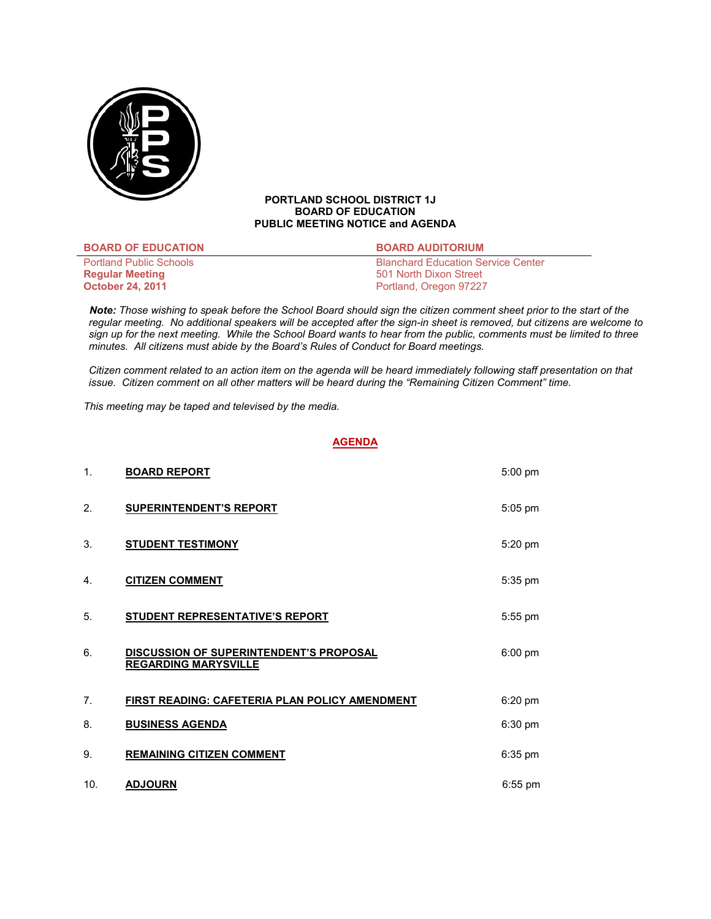

## **PORTLAND SCHOOL DISTRICT 1J BOARD OF EDUCATION PUBLIC MEETING NOTICE and AGENDA**

| <b>BOARD OF EDUCATION</b>      | <b>BOARD AUDITORIUM</b>                   |
|--------------------------------|-------------------------------------------|
| <b>Portland Public Schools</b> | <b>Blanchard Education Service Center</b> |
| <b>Regular Meeting</b>         | 501 North Dixon Street                    |
| <b>October 24, 2011</b>        | Portland, Oregon 97227                    |

 *Note: Those wishing to speak before the School Board should sign the citizen comment sheet prior to the start of the regular meeting. No additional speakers will be accepted after the sign-in sheet is removed, but citizens are welcome to sign up for the next meeting. While the School Board wants to hear from the public, comments must be limited to three minutes. All citizens must abide by the Board's Rules of Conduct for Board meetings.* 

 *Citizen comment related to an action item on the agenda will be heard immediately following staff presentation on that issue. Citizen comment on all other matters will be heard during the "Remaining Citizen Comment" time.* 

*This meeting may be taped and televised by the media.* 

# **AGENDA**

| 1.  | <b>BOARD REPORT</b>                                                           | 5:00 pm           |
|-----|-------------------------------------------------------------------------------|-------------------|
| 2.  | <b>SUPERINTENDENT'S REPORT</b>                                                | 5:05 pm           |
| 3.  | <b>STUDENT TESTIMONY</b>                                                      | $5:20$ pm         |
| 4.  | <b>CITIZEN COMMENT</b>                                                        | 5:35 pm           |
| 5.  | <b>STUDENT REPRESENTATIVE'S REPORT</b>                                        | 5:55 pm           |
| 6.  | <b>DISCUSSION OF SUPERINTENDENT'S PROPOSAL</b><br><b>REGARDING MARYSVILLE</b> | $6:00 \text{ pm}$ |
| 7.  | FIRST READING: CAFETERIA PLAN POLICY AMENDMENT                                | 6:20 pm           |
| 8.  | <b>BUSINESS AGENDA</b>                                                        | $6:30$ pm         |
| 9.  | <b>REMAINING CITIZEN COMMENT</b>                                              | 6:35 pm           |
| 10. | <b>ADJOURN</b>                                                                | 6:55 pm           |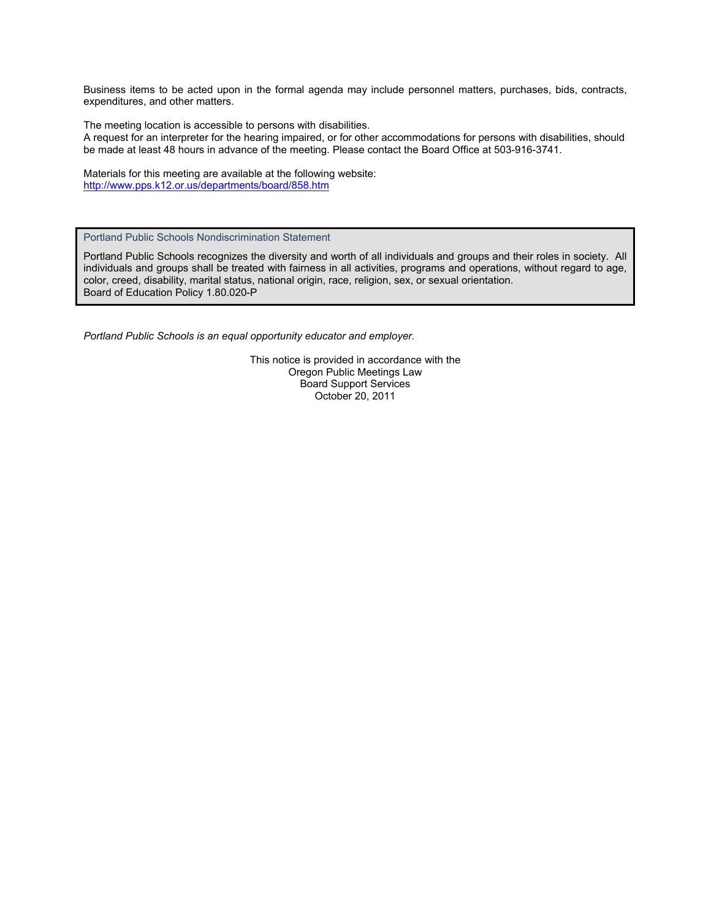Business items to be acted upon in the formal agenda may include personnel matters, purchases, bids, contracts, expenditures, and other matters.

The meeting location is accessible to persons with disabilities. A request for an interpreter for the hearing impaired, or for other accommodations for persons with disabilities, should be made at least 48 hours in advance of the meeting. Please contact the Board Office at 503-916-3741.

Materials for this meeting are available at the following website: http://www.pps.k12.or.us/departments/board/858.htm

Portland Public Schools Nondiscrimination Statement

Portland Public Schools recognizes the diversity and worth of all individuals and groups and their roles in society. All individuals and groups shall be treated with fairness in all activities, programs and operations, without regard to age, color, creed, disability, marital status, national origin, race, religion, sex, or sexual orientation. Board of Education Policy 1.80.020-P

*Portland Public Schools is an equal opportunity educator and employer.* 

This notice is provided in accordance with the Oregon Public Meetings Law Board Support Services October 20, 2011